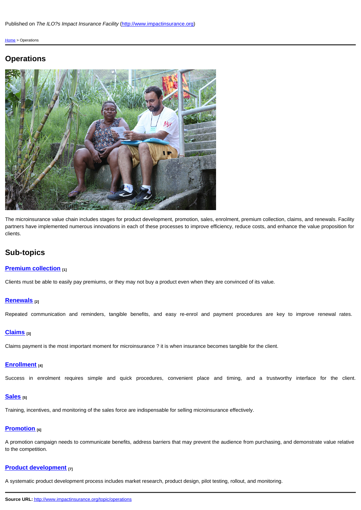The microinsurance value chain includes stages for product development, promotion, sales, enrolment, premium partners have implemented numerous innovations in each of these processes to improve efficiency, reduce cost clients.

# Sub-topics

## **Premium collection** [1]

Clients must be able to easily pay premiums, or they may not buy a product even when they are convinced of its v

#### Renewals [2]

Repeated communication and reminders, tangible benefits, and easy re-enrol and payment procedures

### Claims [3]

Claims payment is the most important moment for microinsurance? it is when insurance becomes tangible for the

## Enrollment [4]

Success in enrolment requires simple and quick procedures, convenient place and timing, and a

### Sales  $_{[5]}$

Training, incentives, and monitoring of the sales force are indispensable for selling microinsurance effectively.

#### Promotion [6]

[A promotion campaign n](http://www.impactinsurance.org/topic/operations/subtopic/premium-collection)eeds to communicate benefits, address barriers that may prevent the audience from pur to the competition.

## [Product de](http://www.impactinsurance.org/topic/operations/subtopic/renewals)velopment [7]

A systematic product development process includes market research, product design, pilot testing, rollout, and mo

[Source UR](http://www.impactinsurance.org/topic/operations/subtopic/claims)L: http://www.impactinsurance.org/topic/operations